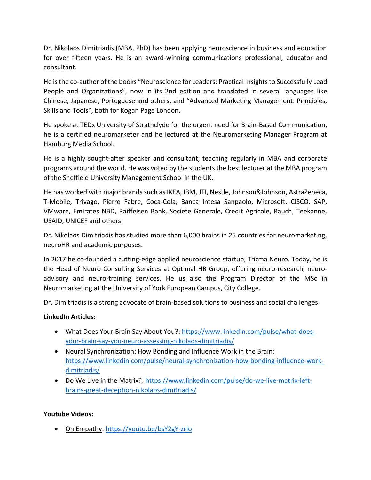Dr. Nikolaos Dimitriadis (MBA, PhD) has been applying neuroscience in business and education for over fifteen years. He is an award-winning communications professional, educator and consultant.

He is the co-author of the books "Neuroscience for Leaders: Practical Insights to Successfully Lead People and Organizations", now in its 2nd edition and translated in several languages like Chinese, Japanese, Portuguese and others, and "Advanced Marketing Management: Principles, Skills and Tools", both for Kogan Page London.

He spoke at TEDx University of Strathclyde for the urgent need for Brain-Based Communication, he is a certified neuromarketer and he lectured at the Neuromarketing Manager Program at Hamburg Media School.

He is a highly sought-after speaker and consultant, teaching regularly in MBA and corporate programs around the world. He was voted by the students the best lecturer at the MBA program of the Sheffield University Management School in the UK.

He has worked with major brands such as IKEA, IBM, JTI, Nestle, Johnson&Johnson, AstraZeneca, T-Mobile, Trivago, Pierre Fabre, Coca-Cola, Banca Intesa Sanpaolo, Microsoft, CISCO, SAP, VMware, Emirates NBD, Raiffeisen Bank, Societe Generale, Credit Agricole, Rauch, Teekanne, USAID, UNICEF and others.

Dr. Nikolaos Dimitriadis has studied more than 6,000 brains in 25 countries for neuromarketing, neuroHR and academic purposes.

In 2017 he co-founded a cutting-edge applied neuroscience startup, Trizma Neuro. Today, he is the Head of Neuro Consulting Services at Optimal HR Group, offering neuro-research, neuroadvisory and neuro-training services. He us also the Program Director of the MSc in Neuromarketing at the University of York European Campus, City College.

Dr. Dimitriadis is a strong advocate of brain-based solutions to business and social challenges.

## **LinkedIn Articles:**

- What Does Your Brain Say About You?: [https://www.linkedin.com/pulse/what-does](https://www.linkedin.com/pulse/what-does-your-brain-say-you-neuro-assessing-nikolaos-dimitriadis/)[your-brain-say-you-neuro-assessing-nikolaos-dimitriadis/](https://www.linkedin.com/pulse/what-does-your-brain-say-you-neuro-assessing-nikolaos-dimitriadis/)
- Neural Synchronization: How Bonding and Influence Work in the Brain: [https://www.linkedin.com/pulse/neural-synchronization-how-bonding-influence-work](https://www.linkedin.com/pulse/neural-synchronization-how-bonding-influence-work-dimitriadis/)[dimitriadis/](https://www.linkedin.com/pulse/neural-synchronization-how-bonding-influence-work-dimitriadis/)
- Do We Live in the Matrix?: [https://www.linkedin.com/pulse/do-we-live-matrix-left](https://www.linkedin.com/pulse/do-we-live-matrix-left-brains-great-deception-nikolaos-dimitriadis/)[brains-great-deception-nikolaos-dimitriadis/](https://www.linkedin.com/pulse/do-we-live-matrix-left-brains-great-deception-nikolaos-dimitriadis/)

## **Youtube Videos:**

• On Empathy: https://youtu.be/bsY2gY-zrlo